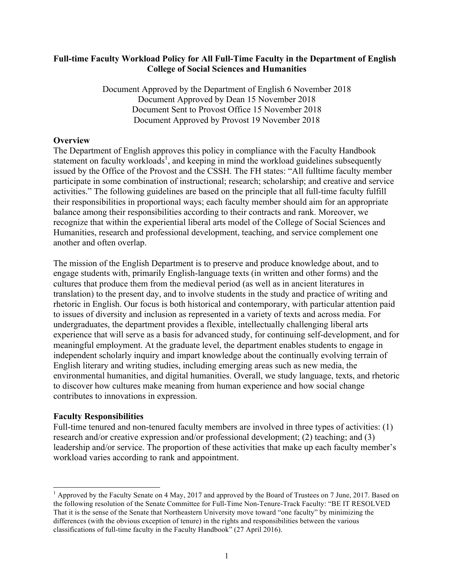## **Full-time Faculty Workload Policy for All Full-Time Faculty in the Department of English College of Social Sciences and Humanities**

Document Approved by the Department of English 6 November 2018 Document Approved by Dean 15 November 2018 Document Sent to Provost Office 15 November 2018 Document Approved by Provost 19 November 2018

### **Overview**

The Department of English approves this policy in compliance with the Faculty Handbook statement on faculty workloads<sup>1</sup>, and keeping in mind the workload guidelines subsequently issued by the Office of the Provost and the CSSH. The FH states: "All fulltime faculty member participate in some combination of instructional; research; scholarship; and creative and service activities." The following guidelines are based on the principle that all full-time faculty fulfill their responsibilities in proportional ways; each faculty member should aim for an appropriate balance among their responsibilities according to their contracts and rank. Moreover, we recognize that within the experiential liberal arts model of the College of Social Sciences and Humanities, research and professional development, teaching, and service complement one another and often overlap.

The mission of the English Department is to preserve and produce knowledge about, and to engage students with, primarily English-language texts (in written and other forms) and the cultures that produce them from the medieval period (as well as in ancient literatures in translation) to the present day, and to involve students in the study and practice of writing and rhetoric in English. Our focus is both historical and contemporary, with particular attention paid to issues of diversity and inclusion as represented in a variety of texts and across media. For undergraduates, the department provides a flexible, intellectually challenging liberal arts experience that will serve as a basis for advanced study, for continuing self-development, and for meaningful employment. At the graduate level, the department enables students to engage in independent scholarly inquiry and impart knowledge about the continually evolving terrain of English literary and writing studies, including emerging areas such as new media, the environmental humanities, and digital humanities. Overall, we study language, texts, and rhetoric to discover how cultures make meaning from human experience and how social change contributes to innovations in expression.

#### **Faculty Responsibilities**

Full-time tenured and non-tenured faculty members are involved in three types of activities: (1) research and/or creative expression and/or professional development; (2) teaching; and (3) leadership and/or service. The proportion of these activities that make up each faculty member's workload varies according to rank and appointment.

<sup>&</sup>lt;sup>1</sup> Approved by the Faculty Senate on 4 May, 2017 and approved by the Board of Trustees on 7 June, 2017. Based on the following resolution of the Senate Committee for Full-Time Non-Tenure-Track Faculty: "BE IT RESOLVED That it is the sense of the Senate that Northeastern University move toward "one faculty" by minimizing the differences (with the obvious exception of tenure) in the rights and responsibilities between the various classifications of full-time faculty in the Faculty Handbook" (27 April 2016).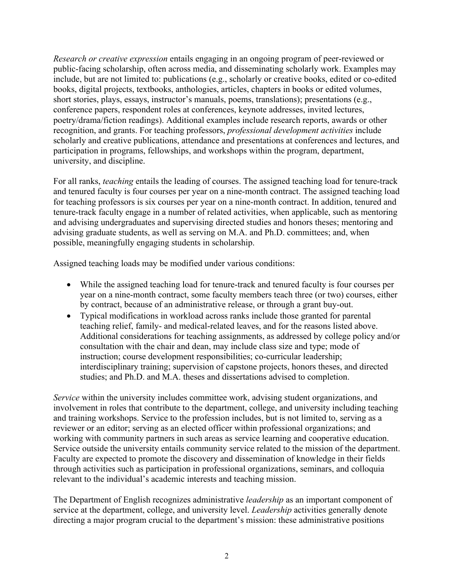*Research or creative expression* entails engaging in an ongoing program of peer-reviewed or public-facing scholarship, often across media, and disseminating scholarly work. Examples may include, but are not limited to: publications (e.g., scholarly or creative books, edited or co-edited books, digital projects, textbooks, anthologies, articles, chapters in books or edited volumes, short stories, plays, essays, instructor's manuals, poems, translations); presentations (e.g., conference papers, respondent roles at conferences, keynote addresses, invited lectures, poetry/drama/fiction readings). Additional examples include research reports, awards or other recognition, and grants. For teaching professors, *professional development activities* include scholarly and creative publications, attendance and presentations at conferences and lectures, and participation in programs, fellowships, and workshops within the program, department, university, and discipline.

For all ranks, *teaching* entails the leading of courses. The assigned teaching load for tenure-track and tenured faculty is four courses per year on a nine-month contract. The assigned teaching load for teaching professors is six courses per year on a nine-month contract. In addition, tenured and tenure-track faculty engage in a number of related activities, when applicable, such as mentoring and advising undergraduates and supervising directed studies and honors theses; mentoring and advising graduate students, as well as serving on M.A. and Ph.D. committees; and, when possible, meaningfully engaging students in scholarship.

Assigned teaching loads may be modified under various conditions:

- While the assigned teaching load for tenure-track and tenured faculty is four courses per year on a nine-month contract, some faculty members teach three (or two) courses, either by contract, because of an administrative release, or through a grant buy-out.
- Typical modifications in workload across ranks include those granted for parental teaching relief, family- and medical-related leaves, and for the reasons listed above. Additional considerations for teaching assignments, as addressed by college policy and/or consultation with the chair and dean, may include class size and type; mode of instruction; course development responsibilities; co-curricular leadership; interdisciplinary training; supervision of capstone projects, honors theses, and directed studies; and Ph.D. and M.A. theses and dissertations advised to completion.

*Service* within the university includes committee work, advising student organizations, and involvement in roles that contribute to the department, college, and university including teaching and training workshops. Service to the profession includes, but is not limited to, serving as a reviewer or an editor; serving as an elected officer within professional organizations; and working with community partners in such areas as service learning and cooperative education. Service outside the university entails community service related to the mission of the department. Faculty are expected to promote the discovery and dissemination of knowledge in their fields through activities such as participation in professional organizations, seminars, and colloquia relevant to the individual's academic interests and teaching mission.

The Department of English recognizes administrative *leadership* as an important component of service at the department, college, and university level. *Leadership* activities generally denote directing a major program crucial to the department's mission: these administrative positions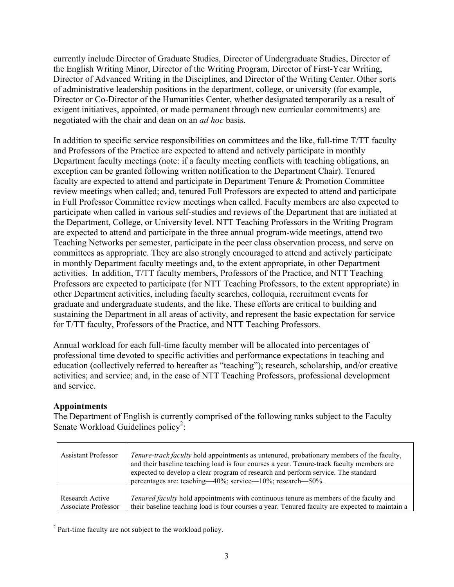currently include Director of Graduate Studies, Director of Undergraduate Studies, Director of the English Writing Minor, Director of the Writing Program, Director of First-Year Writing, Director of Advanced Writing in the Disciplines, and Director of the Writing Center. Other sorts of administrative leadership positions in the department, college, or university (for example, Director or Co-Director of the Humanities Center, whether designated temporarily as a result of exigent initiatives, appointed, or made permanent through new curricular commitments) are negotiated with the chair and dean on an *ad hoc* basis.

In addition to specific service responsibilities on committees and the like, full-time T/TT faculty and Professors of the Practice are expected to attend and actively participate in monthly Department faculty meetings (note: if a faculty meeting conflicts with teaching obligations, an exception can be granted following written notification to the Department Chair). Tenured faculty are expected to attend and participate in Department Tenure & Promotion Committee review meetings when called; and, tenured Full Professors are expected to attend and participate in Full Professor Committee review meetings when called. Faculty members are also expected to participate when called in various self-studies and reviews of the Department that are initiated at the Department, College, or University level. NTT Teaching Professors in the Writing Program are expected to attend and participate in the three annual program-wide meetings, attend two Teaching Networks per semester, participate in the peer class observation process, and serve on committees as appropriate. They are also strongly encouraged to attend and actively participate in monthly Department faculty meetings and, to the extent appropriate, in other Department activities. In addition, T/TT faculty members, Professors of the Practice, and NTT Teaching Professors are expected to participate (for NTT Teaching Professors, to the extent appropriate) in other Department activities, including faculty searches, colloquia, recruitment events for graduate and undergraduate students, and the like. These efforts are critical to building and sustaining the Department in all areas of activity, and represent the basic expectation for service for T/TT faculty, Professors of the Practice, and NTT Teaching Professors.

Annual workload for each full-time faculty member will be allocated into percentages of professional time devoted to specific activities and performance expectations in teaching and education (collectively referred to hereafter as "teaching"); research, scholarship, and/or creative activities; and service; and, in the case of NTT Teaching Professors, professional development and service.

# **Appointments**

The Department of English is currently comprised of the following ranks subject to the Faculty Senate Workload Guidelines policy<sup>2</sup>:

| <b>Assistant Professor</b> | <i>Tenure-track faculty</i> hold appointments as untenured, probationary members of the faculty,<br>and their baseline teaching load is four courses a year. Tenure-track faculty members are<br>expected to develop a clear program of research and perform service. The standard<br>percentages are: teaching—40%; service—10%; research—50%. |
|----------------------------|-------------------------------------------------------------------------------------------------------------------------------------------------------------------------------------------------------------------------------------------------------------------------------------------------------------------------------------------------|
| Research Active            | <i>Tenured faculty</i> hold appointments with continuous tenure as members of the faculty and                                                                                                                                                                                                                                                   |
| <b>Associate Professor</b> | their baseline teaching load is four courses a year. Tenured faculty are expected to maintain a                                                                                                                                                                                                                                                 |

<sup>2</sup> Part-time faculty are not subject to the workload policy.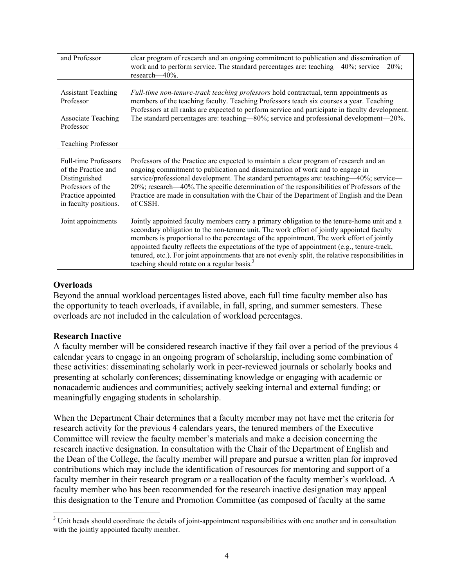| and Professor                                                                                                                           | clear program of research and an ongoing commitment to publication and dissemination of<br>work and to perform service. The standard percentages are: teaching—40%; service—20%;<br>research-40%.                                                                                                                                                                                                                                                                                                                                                   |
|-----------------------------------------------------------------------------------------------------------------------------------------|-----------------------------------------------------------------------------------------------------------------------------------------------------------------------------------------------------------------------------------------------------------------------------------------------------------------------------------------------------------------------------------------------------------------------------------------------------------------------------------------------------------------------------------------------------|
| <b>Assistant Teaching</b><br>Professor<br><b>Associate Teaching</b><br>Professor<br><b>Teaching Professor</b>                           | Full-time non-tenure-track teaching professors hold contractual, term appointments as<br>members of the teaching faculty. Teaching Professors teach six courses a year. Teaching<br>Professors at all ranks are expected to perform service and participate in faculty development.<br>The standard percentages are: teaching—80%; service and professional development—20%.                                                                                                                                                                        |
| <b>Full-time Professors</b><br>of the Practice and<br>Distinguished<br>Professors of the<br>Practice appointed<br>in faculty positions. | Professors of the Practice are expected to maintain a clear program of research and an<br>ongoing commitment to publication and dissemination of work and to engage in<br>service/professional development. The standard percentages are: teaching—40%; service—<br>20%; research—40%. The specific determination of the responsibilities of Professors of the<br>Practice are made in consultation with the Chair of the Department of English and the Dean<br>of CSSH.                                                                            |
| Joint appointments                                                                                                                      | Jointly appointed faculty members carry a primary obligation to the tenure-home unit and a<br>secondary obligation to the non-tenure unit. The work effort of jointly appointed faculty<br>members is proportional to the percentage of the appointment. The work effort of jointly<br>appointed faculty reflects the expectations of the type of appointment (e.g., tenure-track,<br>tenured, etc.). For joint appointments that are not evenly split, the relative responsibilities in<br>teaching should rotate on a regular basis. <sup>3</sup> |

# **Overloads**

Beyond the annual workload percentages listed above, each full time faculty member also has the opportunity to teach overloads, if available, in fall, spring, and summer semesters. These overloads are not included in the calculation of workload percentages.

#### **Research Inactive**

A faculty member will be considered research inactive if they fail over a period of the previous 4 calendar years to engage in an ongoing program of scholarship, including some combination of these activities: disseminating scholarly work in peer-reviewed journals or scholarly books and presenting at scholarly conferences; disseminating knowledge or engaging with academic or nonacademic audiences and communities; actively seeking internal and external funding; or meaningfully engaging students in scholarship.

When the Department Chair determines that a faculty member may not have met the criteria for research activity for the previous 4 calendars years, the tenured members of the Executive Committee will review the faculty member's materials and make a decision concerning the research inactive designation. In consultation with the Chair of the Department of English and the Dean of the College, the faculty member will prepare and pursue a written plan for improved contributions which may include the identification of resources for mentoring and support of a faculty member in their research program or a reallocation of the faculty member's workload. A faculty member who has been recommended for the research inactive designation may appeal this designation to the Tenure and Promotion Committee (as composed of faculty at the same

 $3$  Unit heads should coordinate the details of joint-appointment responsibilities with one another and in consultation with the jointly appointed faculty member.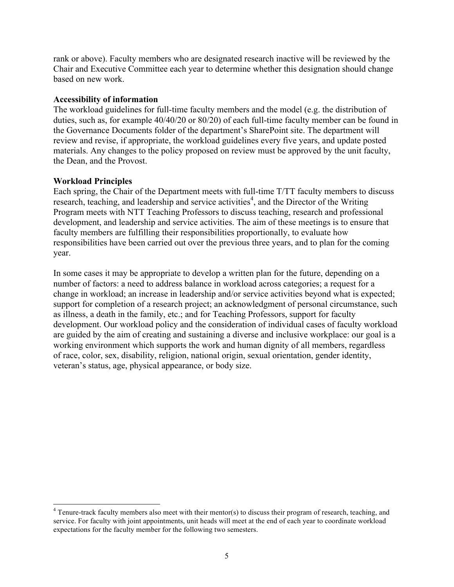rank or above). Faculty members who are designated research inactive will be reviewed by the Chair and Executive Committee each year to determine whether this designation should change based on new work.

## **Accessibility of information**

The workload guidelines for full-time faculty members and the model (e.g. the distribution of duties, such as, for example 40/40/20 or 80/20) of each full-time faculty member can be found in the Governance Documents folder of the department's SharePoint site. The department will review and revise, if appropriate, the workload guidelines every five years, and update posted materials. Any changes to the policy proposed on review must be approved by the unit faculty, the Dean, and the Provost.

# **Workload Principles**

Each spring, the Chair of the Department meets with full-time T/TT faculty members to discuss research, teaching, and leadership and service activities<sup>4</sup>, and the Director of the Writing Program meets with NTT Teaching Professors to discuss teaching, research and professional development, and leadership and service activities. The aim of these meetings is to ensure that faculty members are fulfilling their responsibilities proportionally, to evaluate how responsibilities have been carried out over the previous three years, and to plan for the coming year.

In some cases it may be appropriate to develop a written plan for the future, depending on a number of factors: a need to address balance in workload across categories; a request for a change in workload; an increase in leadership and/or service activities beyond what is expected; support for completion of a research project; an acknowledgment of personal circumstance, such as illness, a death in the family, etc.; and for Teaching Professors, support for faculty development. Our workload policy and the consideration of individual cases of faculty workload are guided by the aim of creating and sustaining a diverse and inclusive workplace: our goal is a working environment which supports the work and human dignity of all members, regardless of race, color, sex, disability, religion, national origin, sexual orientation, gender identity, veteran's status, age, physical appearance, or body size.

<sup>&</sup>lt;sup>4</sup> Tenure-track faculty members also meet with their mentor(s) to discuss their program of research, teaching, and service. For faculty with joint appointments, unit heads will meet at the end of each year to coordinate workload expectations for the faculty member for the following two semesters.